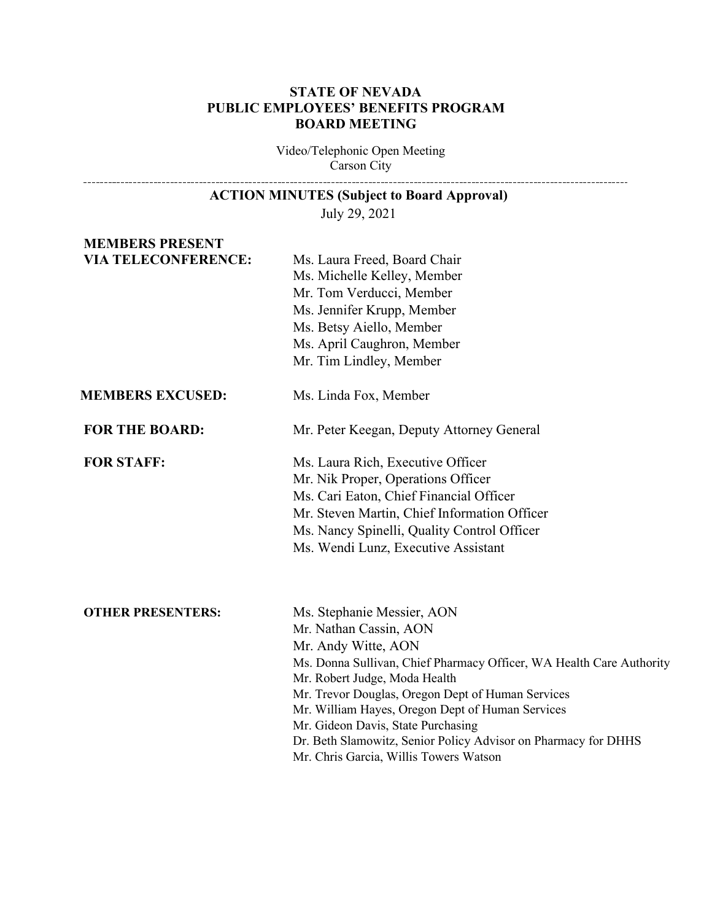## **STATE OF NEVADA PUBLIC EMPLOYEES' BENEFITS PROGRAM BOARD MEETING**

Video/Telephonic Open Meeting Carson City 

| <b>ACTION MINUTES (Subject to Board Approval)</b> |                                                                                                          |
|---------------------------------------------------|----------------------------------------------------------------------------------------------------------|
|                                                   | July 29, 2021                                                                                            |
| <b>MEMBERS PRESENT</b>                            |                                                                                                          |
| <b>VIA TELECONFERENCE:</b>                        | Ms. Laura Freed, Board Chair                                                                             |
|                                                   | Ms. Michelle Kelley, Member                                                                              |
|                                                   | Mr. Tom Verducci, Member                                                                                 |
|                                                   | Ms. Jennifer Krupp, Member                                                                               |
|                                                   | Ms. Betsy Aiello, Member                                                                                 |
|                                                   | Ms. April Caughron, Member                                                                               |
|                                                   | Mr. Tim Lindley, Member                                                                                  |
| <b>MEMBERS EXCUSED:</b>                           | Ms. Linda Fox, Member                                                                                    |
| <b>FOR THE BOARD:</b>                             | Mr. Peter Keegan, Deputy Attorney General                                                                |
| <b>FOR STAFF:</b>                                 | Ms. Laura Rich, Executive Officer                                                                        |
|                                                   | Mr. Nik Proper, Operations Officer                                                                       |
|                                                   | Ms. Cari Eaton, Chief Financial Officer                                                                  |
|                                                   | Mr. Steven Martin, Chief Information Officer                                                             |
|                                                   | Ms. Nancy Spinelli, Quality Control Officer                                                              |
|                                                   | Ms. Wendi Lunz, Executive Assistant                                                                      |
| <b>OTHER PRESENTERS:</b>                          | Ms. Stephanie Messier, AON                                                                               |
|                                                   | Mr. Nathan Cassin, AON                                                                                   |
|                                                   | Mr. Andy Witte, AON                                                                                      |
|                                                   | Ms. Donna Sullivan, Chief Pharmacy Officer, WA Health Care Authority                                     |
|                                                   | Mr. Robert Judge, Moda Health                                                                            |
|                                                   | Mr. Trevor Douglas, Oregon Dept of Human Services                                                        |
|                                                   | Mr. William Hayes, Oregon Dept of Human Services                                                         |
|                                                   | Mr. Gideon Davis, State Purchasing                                                                       |
|                                                   | Dr. Beth Slamowitz, Senior Policy Advisor on Pharmacy for DHHS<br>Mr. Chris Garcia, Willis Towers Watson |
|                                                   |                                                                                                          |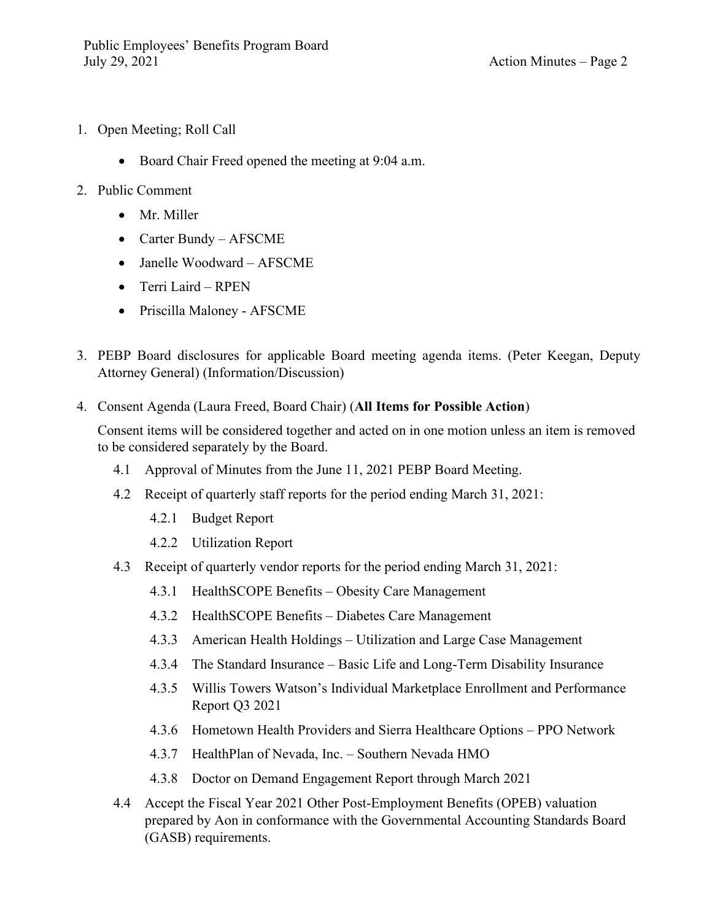- 1. Open Meeting; Roll Call
	- Board Chair Freed opened the meeting at 9:04 a.m.
- 2. Public Comment
	- Mr. Miller
	- Carter Bundy AFSCME
	- Janelle Woodward AFSCME
	- Terri Laird RPEN
	- Priscilla Maloney AFSCME
- 3. PEBP Board disclosures for applicable Board meeting agenda items. (Peter Keegan, Deputy Attorney General) (Information/Discussion)
- 4. Consent Agenda (Laura Freed, Board Chair) (**All Items for Possible Action**)

Consent items will be considered together and acted on in one motion unless an item is removed to be considered separately by the Board.

- 4.1 Approval of Minutes from the June 11, 2021 PEBP Board Meeting.
- 4.2 Receipt of quarterly staff reports for the period ending March 31, 2021:
	- 4.2.1 Budget Report
	- 4.2.2 Utilization Report
- 4.3 Receipt of quarterly vendor reports for the period ending March 31, 2021:
	- 4.3.1 HealthSCOPE Benefits Obesity Care Management
	- 4.3.2 HealthSCOPE Benefits Diabetes Care Management
	- 4.3.3 American Health Holdings Utilization and Large Case Management
	- 4.3.4 The Standard Insurance Basic Life and Long-Term Disability Insurance
	- 4.3.5 Willis Towers Watson's Individual Marketplace Enrollment and Performance Report Q3 2021
	- 4.3.6 Hometown Health Providers and Sierra Healthcare Options PPO Network
	- 4.3.7 HealthPlan of Nevada, Inc. Southern Nevada HMO
	- 4.3.8 Doctor on Demand Engagement Report through March 2021
- 4.4 Accept the Fiscal Year 2021 Other Post-Employment Benefits (OPEB) valuation prepared by Aon in conformance with the Governmental Accounting Standards Board (GASB) requirements.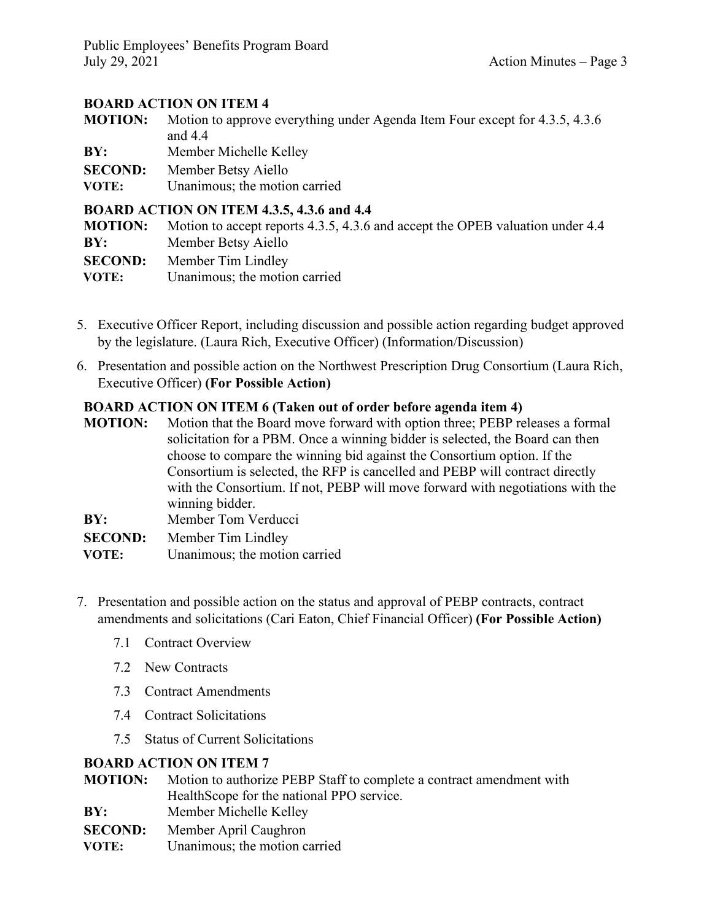Public Employees' Benefits Program Board July 29, 2021 Action Minutes – Page 3

## **BOARD ACTION ON ITEM 4**

**MOTION:** Motion to approve everything under Agenda Item Four except for 4.3.5, 4.3.6 and 4.4

**BY:** Member Michelle Kelley

**SECOND:** Member Betsy Aiello

 **VOTE:** Unanimous; the motion carried

#### **BOARD ACTION ON ITEM 4.3.5, 4.3.6 and 4.4**

| <b>MOTION:</b> | Motion to accept reports 4.3.5, 4.3.6 and accept the OPEB valuation under 4.4 |
|----------------|-------------------------------------------------------------------------------|
| BY:            | Member Betsy Aiello                                                           |
|                | <b>SECOND:</b> Member Tim Lindley                                             |
| VOTE:          | Unanimous; the motion carried                                                 |

- 5. Executive Officer Report, including discussion and possible action regarding budget approved by the legislature. (Laura Rich, Executive Officer) (Information/Discussion)
- 6. Presentation and possible action on the Northwest Prescription Drug Consortium (Laura Rich, Executive Officer) **(For Possible Action)**

### **BOARD ACTION ON ITEM 6 (Taken out of order before agenda item 4)**

**MOTION:** Motion that the Board move forward with option three; PEBP releases a formal solicitation for a PBM. Once a winning bidder is selected, the Board can then choose to compare the winning bid against the Consortium option. If the Consortium is selected, the RFP is cancelled and PEBP will contract directly with the Consortium. If not, PEBP will move forward with negotiations with the winning bidder. **BY:** Member Tom Verducci **SECOND:** Member Tim Lindley

- **VOTE:** Unanimous; the motion carried
- 7. Presentation and possible action on the status and approval of PEBP contracts, contract amendments and solicitations (Cari Eaton, Chief Financial Officer) **(For Possible Action)**
	- 7.1 Contract Overview
	- 7.2 New Contracts
	- 7.3 Contract Amendments
	- 7.4 Contract Solicitations
	- 7.5 Status of Current Solicitations

### **BOARD ACTION ON ITEM 7**

- **MOTION:** Motion to authorize PEBP Staff to complete a contract amendment with HealthScope for the national PPO service.
- **BY:** Member Michelle Kelley
- **SECOND:** Member April Caughron
- **VOTE:** Unanimous; the motion carried